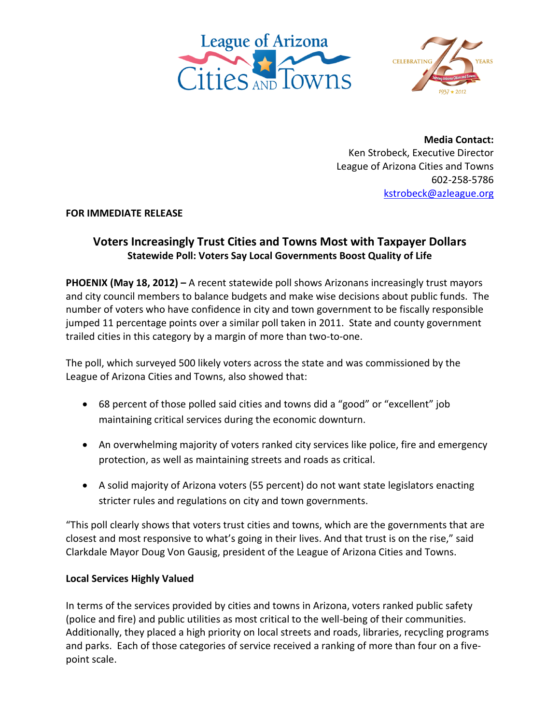



**Media Contact:** Ken Strobeck, Executive Director League of Arizona Cities and Towns 602-258-5786 [kstrobeck@azleague.org](mailto:kstrobeck@azleague.org)

**FOR IMMEDIATE RELEASE**

# **Voters Increasingly Trust Cities and Towns Most with Taxpayer Dollars Statewide Poll: Voters Say Local Governments Boost Quality of Life**

**PHOENIX (May 18, 2012) –** A recent statewide poll shows Arizonans increasingly trust mayors and city council members to balance budgets and make wise decisions about public funds. The number of voters who have confidence in city and town government to be fiscally responsible jumped 11 percentage points over a similar poll taken in 2011. State and county government trailed cities in this category by a margin of more than two-to-one.

The poll, which surveyed 500 likely voters across the state and was commissioned by the League of Arizona Cities and Towns, also showed that:

- 68 percent of those polled said cities and towns did a "good" or "excellent" job maintaining critical services during the economic downturn.
- An overwhelming majority of voters ranked city services like police, fire and emergency protection, as well as maintaining streets and roads as critical.
- A solid majority of Arizona voters (55 percent) do not want state legislators enacting stricter rules and regulations on city and town governments.

"This poll clearly shows that voters trust cities and towns, which are the governments that are closest and most responsive to what's going in their lives. And that trust is on the rise," said Clarkdale Mayor Doug Von Gausig, president of the League of Arizona Cities and Towns.

## **Local Services Highly Valued**

In terms of the services provided by cities and towns in Arizona, voters ranked public safety (police and fire) and public utilities as most critical to the well-being of their communities. Additionally, they placed a high priority on local streets and roads, libraries, recycling programs and parks. Each of those categories of service received a ranking of more than four on a fivepoint scale.